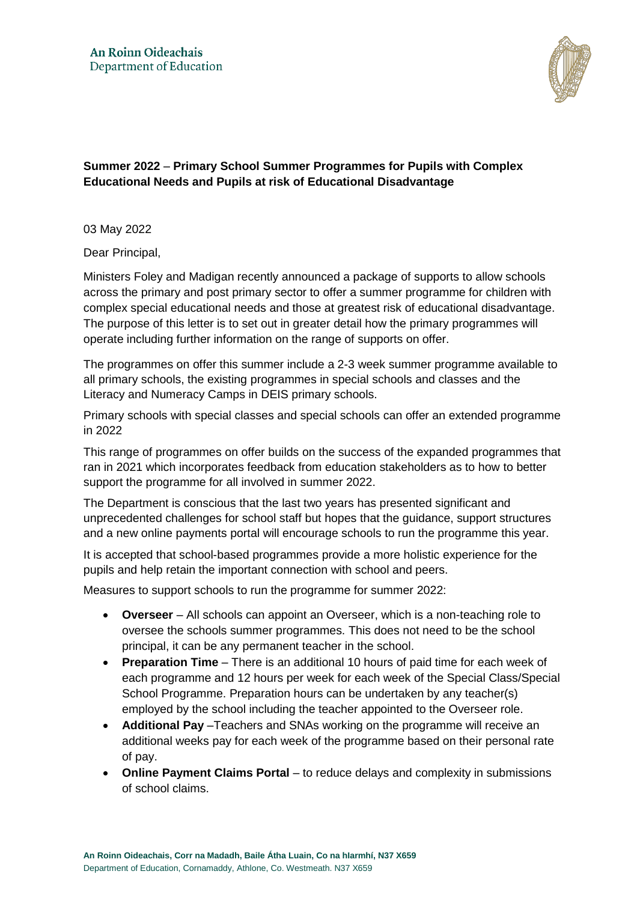

**Summer 2022** – **Primary School Summer Programmes for Pupils with Complex Educational Needs and Pupils at risk of Educational Disadvantage**

03 May 2022

Dear Principal,

Ministers Foley and Madigan recently announced a package of supports to allow schools across the primary and post primary sector to offer a summer programme for children with complex special educational needs and those at greatest risk of educational disadvantage. The purpose of this letter is to set out in greater detail how the primary programmes will operate including further information on the range of supports on offer.

The programmes on offer this summer include a 2-3 week summer programme available to all primary schools, the existing programmes in special schools and classes and the Literacy and Numeracy Camps in DEIS primary schools.

Primary schools with special classes and special schools can offer an extended programme in 2022

This range of programmes on offer builds on the success of the expanded programmes that ran in 2021 which incorporates feedback from education stakeholders as to how to better support the programme for all involved in summer 2022.

The Department is conscious that the last two years has presented significant and unprecedented challenges for school staff but hopes that the guidance, support structures and a new online payments portal will encourage schools to run the programme this year.

It is accepted that school-based programmes provide a more holistic experience for the pupils and help retain the important connection with school and peers.

Measures to support schools to run the programme for summer 2022:

- **Overseer** All schools can appoint an Overseer, which is a non-teaching role to oversee the schools summer programmes. This does not need to be the school principal, it can be any permanent teacher in the school.
- **Preparation Time** There is an additional 10 hours of paid time for each week of each programme and 12 hours per week for each week of the Special Class/Special School Programme. Preparation hours can be undertaken by any teacher(s) employed by the school including the teacher appointed to the Overseer role.
- **Additional Pay** –Teachers and SNAs working on the programme will receive an additional weeks pay for each week of the programme based on their personal rate of pay.
- **Online Payment Claims Portal** to reduce delays and complexity in submissions of school claims.